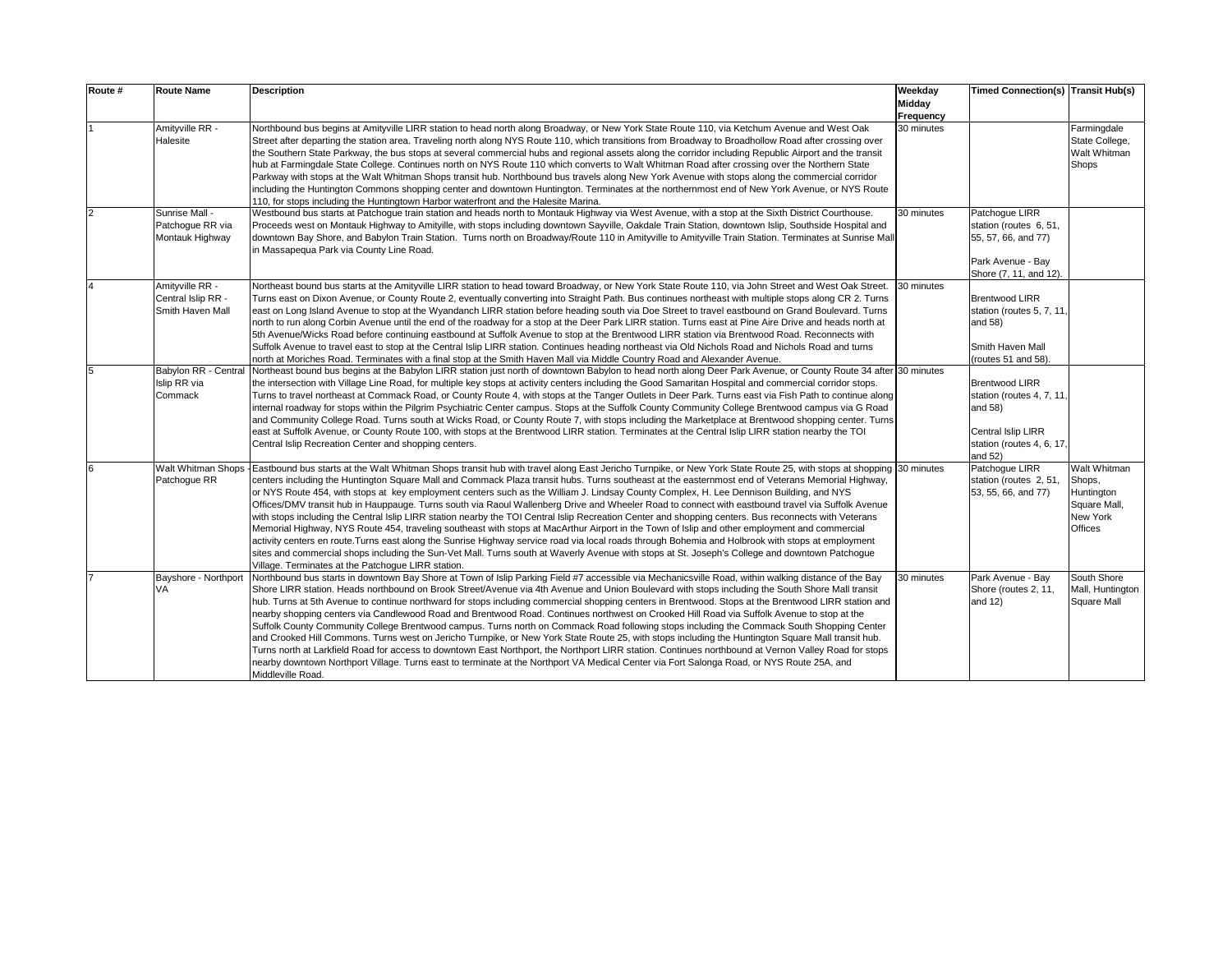| Route # | <b>Route Name</b>                                         | <b>Description</b>                                                                                                                                                                                                                                                                                                                                                                                                                                                                                                                                                                                                                                                                                                                                                                                                                                                                                                                                                                                                                                                                                                                                                                                                                                                                  | Weekday<br>Midday<br>Frequency | Timed Connection(s) Transit Hub(s)                                                                                                   |                                                                             |
|---------|-----------------------------------------------------------|-------------------------------------------------------------------------------------------------------------------------------------------------------------------------------------------------------------------------------------------------------------------------------------------------------------------------------------------------------------------------------------------------------------------------------------------------------------------------------------------------------------------------------------------------------------------------------------------------------------------------------------------------------------------------------------------------------------------------------------------------------------------------------------------------------------------------------------------------------------------------------------------------------------------------------------------------------------------------------------------------------------------------------------------------------------------------------------------------------------------------------------------------------------------------------------------------------------------------------------------------------------------------------------|--------------------------------|--------------------------------------------------------------------------------------------------------------------------------------|-----------------------------------------------------------------------------|
|         | Amityville RR -<br>Halesite                               | Northbound bus begins at Amityville LIRR station to head north along Broadway, or New York State Route 110, via Ketchum Avenue and West Oak<br>Street after departing the station area. Traveling north along NYS Route 110, which transitions from Broadway to Broadhollow Road after crossing over<br>the Southern State Parkway, the bus stops at several commercial hubs and regional assets along the corridor including Republic Airport and the transit<br>hub at Farmingdale State College. Continues north on NYS Route 110 which converts to Walt Whitman Road after crossing over the Northern State<br>Parkway with stops at the Walt Whitman Shops transit hub. Northbound bus travels along New York Avenue with stops along the commercial corridor<br>including the Huntington Commons shopping center and downtown Huntington. Terminates at the northernmost end of New York Avenue, or NYS Route<br>110, for stops including the Huntingtown Harbor waterfront and the Halesite Marina.                                                                                                                                                                                                                                                                          | 30 minutes                     |                                                                                                                                      | Farmingdale<br>State College,<br>Walt Whitman<br><b>Shops</b>               |
|         | Sunrise Mall -<br>Patchoque RR via<br>Montauk Highway     | Westbound bus starts at Patchoque train station and heads north to Montauk Highway via West Avenue, with a stop at the Sixth District Courthouse.<br>Proceeds west on Montauk Highway to Amityille, with stops including downtown Sayville, Oakdale Train Station, downtown Islip, Southside Hospital and<br>downtown Bay Shore, and Babylon Train Station. Turns north on Broadway/Route 110 in Amityville to Amityville Train Station. Terminates at Sunrise Mall<br>in Massapequa Park via County Line Road.                                                                                                                                                                                                                                                                                                                                                                                                                                                                                                                                                                                                                                                                                                                                                                     | 30 minutes                     | Patchoque LIRR<br>station (routes 6, 51,<br>55, 57, 66, and 77)<br>Park Avenue - Bay<br>Shore (7, 11, and 12).                       |                                                                             |
|         | Amitvville RR -<br>Central Islip RR -<br>Smith Haven Mall | Northeast bound bus starts at the Amityville LIRR station to head toward Broadway, or New York State Route 110, via John Street and West Oak Street.<br>Turns east on Dixon Avenue, or County Route 2, eventually converting into Straight Path. Bus continues northeast with multiple stops along CR 2. Turns<br>east on Long Island Avenue to stop at the Wyandanch LIRR station before heading south via Doe Street to travel eastbound on Grand Boulevard. Turns<br>north to run along Corbin Avenue until the end of the roadway for a stop at the Deer Park LIRR station. Turns east at Pine Aire Drive and heads north at<br>5th Avenue/Wicks Road before continuing eastbound at Suffolk Avenue to stop at the Brentwood LIRR station via Brentwood Road. Reconnects with<br>Suffolk Avenue to travel east to stop at the Central Islip LIRR station. Continues heading northeast via Old Nichols Road and Nichols Road and turns<br>north at Moriches Road. Terminates with a final stop at the Smith Haven Mall via Middle Country Road and Alexander Avenue.                                                                                                                                                                                                             | 30 minutes                     | <b>Brentwood LIRR</b><br>station (routes 5, 7, 11<br>and 58)<br>Smith Haven Mall<br>(routes 51 and 58).                              |                                                                             |
| 5       | Babylon RR - Central<br>Islip RR via<br>Commack           | Northeast bound bus begins at the Babylon LIRR station just north of downtown Babylon to head north along Deer Park Avenue, or County Route 34 after 30 minutes<br>the intersection with Village Line Road, for multiple key stops at activity centers including the Good Samaritan Hospital and commercial corridor stops.<br>Turns to travel northeast at Commack Road, or County Route 4, with stops at the Tanger Outlets in Deer Park. Turns east via Fish Path to continue along<br>internal roadway for stops within the Pilgrim Psychiatric Center campus. Stops at the Suffolk County Community College Brentwood campus via G Road<br>and Community College Road. Turns south at Wicks Road, or County Route 7, with stops including the Marketplace at Brentwood shopping center. Turns<br>east at Suffolk Avenue, or County Route 100, with stops at the Brentwood LIRR station. Terminates at the Central Islip LIRR station nearby the TOI<br>Central Islip Recreation Center and shopping centers.                                                                                                                                                                                                                                                                   |                                | <b>Brentwood LIRR</b><br>station (routes 4, 7, 11,<br>and 58)<br><b>Central Islip LIRR</b><br>station (routes 4, 6, 17,<br>and $52)$ |                                                                             |
| 6       | Walt Whitman Shops<br>Patchoque RR                        | Eastbound bus starts at the Walt Whitman Shops transit hub with travel along East Jericho Turnpike, or New York State Route 25, with stops at shopping<br>centers including the Huntington Square Mall and Commack Plaza transit hubs. Turns southeast at the easternmost end of Veterans Memorial Highway,<br>or NYS Route 454, with stops at key employment centers such as the William J. Lindsay County Complex, H. Lee Dennison Building, and NYS<br>Offices/DMV transit hub in Hauppauge. Turns south via Raoul Wallenberg Drive and Wheeler Road to connect with eastbound travel via Suffolk Avenue<br>with stops including the Central Islip LIRR station nearby the TOI Central Islip Recreation Center and shopping centers. Bus reconnects with Veterans<br>Memorial Highway, NYS Route 454, traveling southeast with stops at MacArthur Airport in the Town of Islip and other employment and commercial<br>activity centers en route. Turns east along the Sunrise Highway service road via local roads through Bohemia and Holbrook with stops at employment<br>sites and commercial shops including the Sun-Vet Mall. Turns south at Waverly Avenue with stops at St. Joseph's College and downtown Patchogue<br>Village. Terminates at the Patchoque LIRR station. | 30 minutes                     | Patchoque LIRR<br>station (routes 2, 51,<br>53, 55, 66, and 77)                                                                      | Walt Whitman<br>Shops,<br>Huntington<br>Square Mall,<br>New York<br>Offices |
|         | Bayshore - Northport<br>VA                                | Northbound bus starts in downtown Bay Shore at Town of Islip Parking Field #7 accessible via Mechanicsville Road, within walking distance of the Bay<br>Shore LIRR station. Heads northbound on Brook Street/Avenue via 4th Avenue and Union Boulevard with stops including the South Shore Mall transit<br>hub. Turns at 5th Avenue to continue northward for stops including commercial shopping centers in Brentwood. Stops at the Brentwood LIRR station and<br>nearby shopping centers via Candlewood Road and Brentwood Road. Continues northwest on Crooked Hill Road via Suffolk Avenue to stop at the<br>Suffolk County Community College Brentwood campus. Turns north on Commack Road following stops including the Commack South Shopping Center<br>and Crooked Hill Commons. Turns west on Jericho Turnpike, or New York State Route 25, with stops including the Huntington Square Mall transit hub.<br>Turns north at Larkfield Road for access to downtown East Northport, the Northport LIRR station. Continues northbound at Vernon Valley Road for stops<br>nearby downtown Northport Village. Turns east to terminate at the Northport VA Medical Center via Fort Salonga Road, or NYS Route 25A, and<br>Middleville Road.                                      | 30 minutes                     | Park Avenue - Bay<br>Shore (routes 2, 11,<br>and $12$ )                                                                              | South Shore<br>Mall, Huntington<br>Square Mall                              |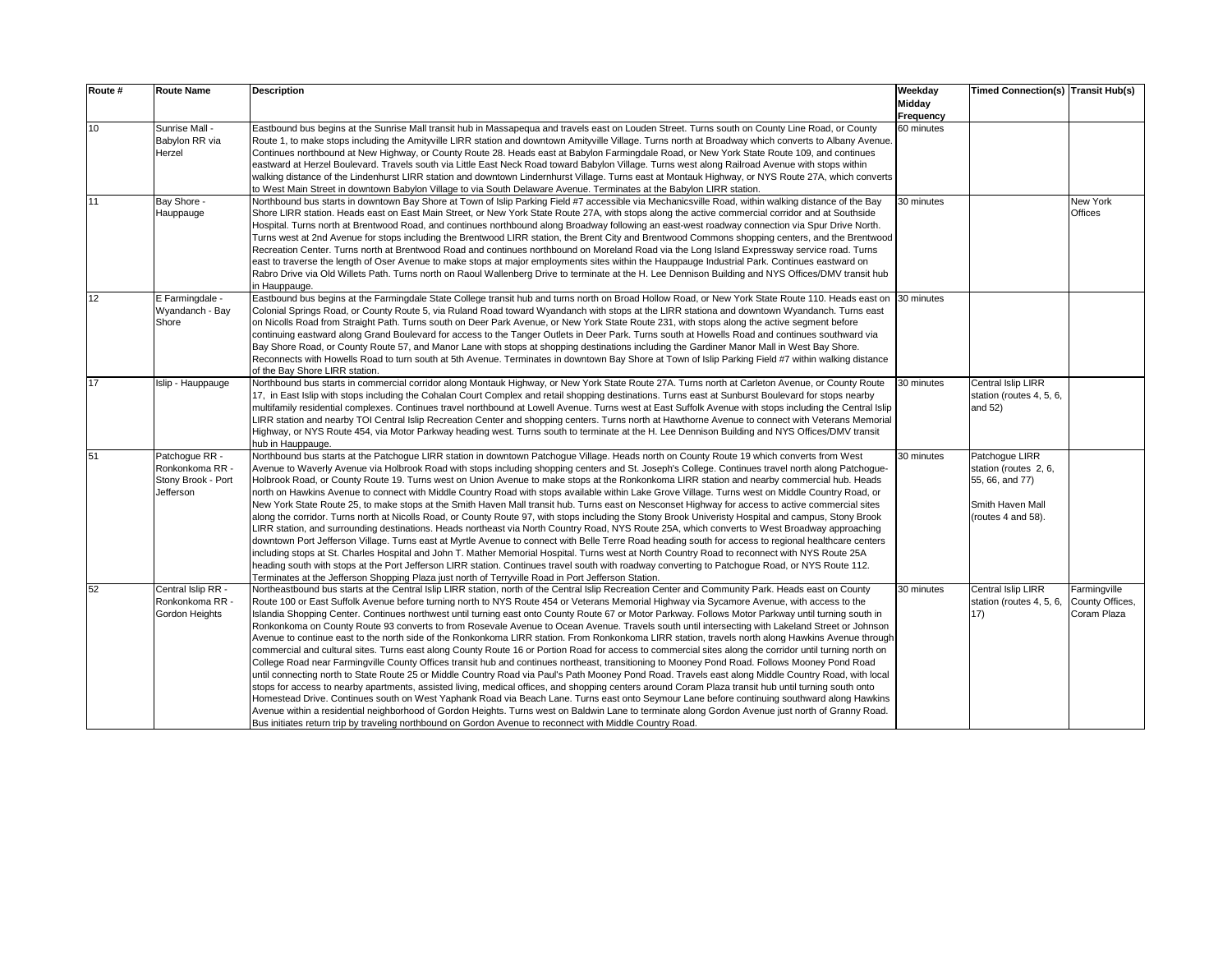| Route # | <b>Route Name</b>                                                    | <b>Description</b>                                                                                                                                                                                                                                                                                                                                                                                                                                                                                                                                                                                                                                                                                                                                                                                                                                                                                                                                                                                                                                                                                                                                                                                                                                                                                                                                                                                                                                                                                                                                                                                                                                                                                                                                                                                                    | Weekday<br>Midday       | <b>Timed Connection(s) Transit Hub(s)</b>                                                            |                                                |
|---------|----------------------------------------------------------------------|-----------------------------------------------------------------------------------------------------------------------------------------------------------------------------------------------------------------------------------------------------------------------------------------------------------------------------------------------------------------------------------------------------------------------------------------------------------------------------------------------------------------------------------------------------------------------------------------------------------------------------------------------------------------------------------------------------------------------------------------------------------------------------------------------------------------------------------------------------------------------------------------------------------------------------------------------------------------------------------------------------------------------------------------------------------------------------------------------------------------------------------------------------------------------------------------------------------------------------------------------------------------------------------------------------------------------------------------------------------------------------------------------------------------------------------------------------------------------------------------------------------------------------------------------------------------------------------------------------------------------------------------------------------------------------------------------------------------------------------------------------------------------------------------------------------------------|-------------------------|------------------------------------------------------------------------------------------------------|------------------------------------------------|
| 10      | Sunrise Mall -<br>Babylon RR via<br>Herzel                           | Eastbound bus begins at the Sunrise Mall transit hub in Massapegua and travels east on Louden Street. Turns south on County Line Road, or County<br>Route 1, to make stops including the Amityville LIRR station and downtown Amityville Village. Turns north at Broadway which converts to Albany Avenue.<br>Continues northbound at New Highway, or County Route 28. Heads east at Babylon Farmingdale Road, or New York State Route 109, and continues<br>eastward at Herzel Boulevard. Travels south via Little East Neck Road toward Babylon Village. Turns west along Railroad Avenue with stops within<br>walking distance of the Lindenhurst LIRR station and downtown Lindernhurst Village. Turns east at Montauk Highway, or NYS Route 27A, which converts<br>to West Main Street in downtown Babylon Village to via South Delaware Avenue. Terminates at the Babylon LIRR station.                                                                                                                                                                                                                                                                                                                                                                                                                                                                                                                                                                                                                                                                                                                                                                                                                                                                                                                         | Frequency<br>60 minutes |                                                                                                      |                                                |
| 11      | Bay Shore -<br>Hauppauge                                             | Northbound bus starts in downtown Bay Shore at Town of Islip Parking Field #7 accessible via Mechanicsville Road, within walking distance of the Bay<br>Shore LIRR station. Heads east on East Main Street, or New York State Route 27A, with stops along the active commercial corridor and at Southside<br>Hospital. Turns north at Brentwood Road, and continues northbound along Broadway following an east-west roadway connection via Spur Drive North.<br>Turns west at 2nd Avenue for stops including the Brentwood LIRR station, the Brent City and Brentwood Commons shopping centers, and the Brentwood<br>Recreation Center. Turns north at Brentwood Road and continues northbound on Moreland Road via the Long Island Expressway service road. Turns<br>east to traverse the length of Oser Avenue to make stops at major employments sites within the Hauppauge Industrial Park. Continues eastward on<br>Rabro Drive via Old Willets Path. Turns north on Raoul Wallenberg Drive to terminate at the H. Lee Dennison Building and NYS Offices/DMV transit hub<br>in Hauppauge.                                                                                                                                                                                                                                                                                                                                                                                                                                                                                                                                                                                                                                                                                                                       | 30 minutes              |                                                                                                      | New York<br>Offices                            |
| 12      | E Farmingdale -<br>Wyandanch - Bay<br>Shore                          | Eastbound bus begins at the Farmingdale State College transit hub and turns north on Broad Hollow Road, or New York State Route 110. Heads east on<br>Colonial Springs Road, or County Route 5, via Ruland Road toward Wyandanch with stops at the LIRR stationa and downtown Wyandanch. Turns east<br>on Nicolls Road from Straight Path. Turns south on Deer Park Avenue, or New York State Route 231, with stops along the active segment before<br>continuing eastward along Grand Boulevard for access to the Tanger Outlets in Deer Park. Turns south at Howells Road and continues southward via<br>Bay Shore Road, or County Route 57, and Manor Lane with stops at shopping destinations including the Gardiner Manor Mall in West Bay Shore.<br>Reconnects with Howells Road to turn south at 5th Avenue. Terminates in downtown Bay Shore at Town of Islip Parking Field #7 within walking distance<br>of the Bay Shore LIRR station.                                                                                                                                                                                                                                                                                                                                                                                                                                                                                                                                                                                                                                                                                                                                                                                                                                                                      | 30 minutes              |                                                                                                      |                                                |
| 17      | Islip - Hauppauge                                                    | Northbound bus starts in commercial corridor along Montauk Highway, or New York State Route 27A. Turns north at Carleton Avenue, or County Route<br>17, in East Islip with stops including the Cohalan Court Complex and retail shopping destinations. Turns east at Sunburst Boulevard for stops nearby<br>multifamily residential complexes. Continues travel northbound at Lowell Avenue. Turns west at East Suffolk Avenue with stops including the Central Islip<br>LIRR station and nearby TOI Central Islip Recreation Center and shopping centers. Turns north at Hawthorne Avenue to connect with Veterans Memorial<br>Highway, or NYS Route 454, via Motor Parkway heading west. Turns south to terminate at the H. Lee Dennison Building and NYS Offices/DMV transit<br>hub in Hauppauge.                                                                                                                                                                                                                                                                                                                                                                                                                                                                                                                                                                                                                                                                                                                                                                                                                                                                                                                                                                                                                  | 30 minutes              | Central Islip LIRR<br>station (routes 4, 5, 6,<br>and 52)                                            |                                                |
| 51      | Patchoque RR -<br>Ronkonkoma RR -<br>Stony Brook - Port<br>Jefferson | Northbound bus starts at the Patchoque LIRR station in downtown Patchoque Village. Heads north on County Route 19 which converts from West<br>Avenue to Waverly Avenue via Holbrook Road with stops including shopping centers and St. Joseph's College. Continues travel north along Patchogue-<br>Holbrook Road, or County Route 19. Turns west on Union Avenue to make stops at the Ronkonkoma LIRR station and nearby commercial hub. Heads<br>north on Hawkins Avenue to connect with Middle Country Road with stops available within Lake Grove Village. Turns west on Middle Country Road, or<br>New York State Route 25, to make stops at the Smith Haven Mall transit hub. Turns east on Nesconset Highway for access to active commercial sites<br>along the corridor. Turns north at Nicolls Road, or County Route 97, with stops including the Stony Brook Univeristy Hospital and campus, Stony Brook<br>LIRR station, and surrounding destinations. Heads northeast via North Country Road, NYS Route 25A, which converts to West Broadway approaching<br>downtown Port Jefferson Village. Turns east at Myrtle Avenue to connect with Belle Terre Road heading south for access to regional healthcare centers<br>including stops at St. Charles Hospital and John T. Mather Memorial Hospital. Turns west at North Country Road to reconnect with NYS Route 25A<br>heading south with stops at the Port Jefferson LIRR station. Continues travel south with roadway converting to Patchogue Road, or NYS Route 112.<br>Terminates at the Jefferson Shopping Plaza just north of Terryville Road in Port Jefferson Station.                                                                                                                                                                            | 30 minutes              | Patchoque LIRR<br>station (routes 2, 6,<br>55, 66, and 77)<br>Smith Haven Mall<br>(routes 4 and 58). |                                                |
| 52      | Central Islip RR -<br>Ronkonkoma RR -<br>Gordon Heights              | Northeastbound bus starts at the Central Islip LIRR station, north of the Central Islip Recreation Center and Community Park. Heads east on County<br>Route 100 or East Suffolk Avenue before turning north to NYS Route 454 or Veterans Memorial Highway via Sycamore Avenue, with access to the<br>Islandia Shopping Center. Continues northwest until turning east onto County Route 67 or Motor Parkway. Follows Motor Parkway until turning south in<br>Ronkonkoma on County Route 93 converts to from Rosevale Avenue to Ocean Avenue. Travels south until intersecting with Lakeland Street or Johnson<br>Avenue to continue east to the north side of the Ronkonkoma LIRR station. From Ronkonkoma LIRR station, travels north along Hawkins Avenue through<br>commercial and cultural sites. Turns east along County Route 16 or Portion Road for access to commercial sites along the corridor until turning north on<br>College Road near Farmingville County Offices transit hub and continues northeast, transitioning to Mooney Pond Road. Follows Mooney Pond Road<br>until connecting north to State Route 25 or Middle Country Road via Paul's Path Mooney Pond Road. Travels east along Middle Country Road, with local<br>stops for access to nearby apartments, assisted living, medical offices, and shopping centers around Coram Plaza transit hub until turning south onto<br>Homestead Drive. Continues south on West Yaphank Road via Beach Lane. Turns east onto Seymour Lane before continuing southward along Hawkins<br>Avenue within a residential neighborhood of Gordon Heights. Turns west on Baldwin Lane to terminate along Gordon Avenue just north of Granny Road.<br>Bus initiates return trip by traveling northbound on Gordon Avenue to reconnect with Middle Country Road. | 30 minutes              | <b>Central Islip LIRR</b><br>station (routes 4, 5, 6,<br>17)                                         | Farmingville<br>County Offices,<br>Coram Plaza |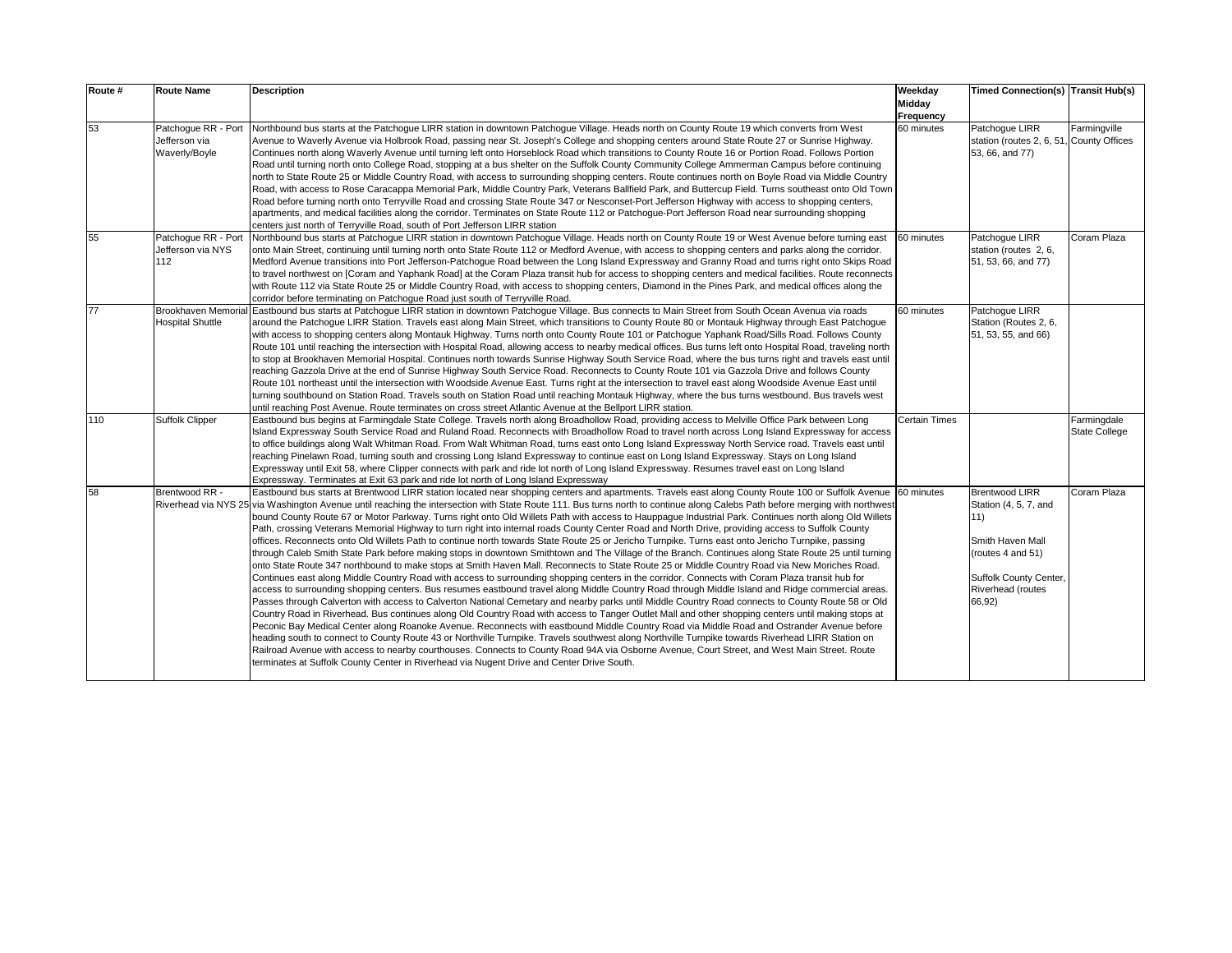| Route # | <b>Route Name</b>                                     | <b>Description</b>                                                                                                                                                                                                                                                                                                                                                                                                                                                                                                                                                                                                                                                                                                                                                                                                                                                                                                                                                                                                                                                                                                                                                                                                                                                                                                                                                                                                                                                                                                                                                                                                                                                                                                                                                                                                                                                                                                                                                                                                                                                                                                                                                                                                                                                                          | Weekday<br><b>Midday</b><br>Frequency | Timed Connection(s) Transit Hub(s)                                                                                                                      |                                     |
|---------|-------------------------------------------------------|---------------------------------------------------------------------------------------------------------------------------------------------------------------------------------------------------------------------------------------------------------------------------------------------------------------------------------------------------------------------------------------------------------------------------------------------------------------------------------------------------------------------------------------------------------------------------------------------------------------------------------------------------------------------------------------------------------------------------------------------------------------------------------------------------------------------------------------------------------------------------------------------------------------------------------------------------------------------------------------------------------------------------------------------------------------------------------------------------------------------------------------------------------------------------------------------------------------------------------------------------------------------------------------------------------------------------------------------------------------------------------------------------------------------------------------------------------------------------------------------------------------------------------------------------------------------------------------------------------------------------------------------------------------------------------------------------------------------------------------------------------------------------------------------------------------------------------------------------------------------------------------------------------------------------------------------------------------------------------------------------------------------------------------------------------------------------------------------------------------------------------------------------------------------------------------------------------------------------------------------------------------------------------------------|---------------------------------------|---------------------------------------------------------------------------------------------------------------------------------------------------------|-------------------------------------|
| 53      | Patchoque RR - Port<br>Jefferson via<br>Waverly/Boyle | Northbound bus starts at the Patchogue LIRR station in downtown Patchogue Village. Heads north on County Route 19 which converts from West<br>Avenue to Waverly Avenue via Holbrook Road, passing near St. Joseph's College and shopping centers around State Route 27 or Sunrise Highway.<br>Continues north along Waverly Avenue until turning left onto Horseblock Road which transitions to County Route 16 or Portion Road. Follows Portion<br>Road until turning north onto College Road, stopping at a bus shelter on the Suffolk County Community College Ammerman Campus before continuing<br>north to State Route 25 or Middle Country Road, with access to surrounding shopping centers. Route continues north on Boyle Road via Middle Country<br>Road, with access to Rose Caracappa Memorial Park, Middle Country Park, Veterans Ballfield Park, and Buttercup Field. Turns southeast onto Old Town<br>Road before turning north onto Terryville Road and crossing State Route 347 or Nesconset-Port Jefferson Highway with access to shopping centers,<br>apartments, and medical facilities along the corridor. Terminates on State Route 112 or Patchogue-Port Jefferson Road near surrounding shopping<br>centers just north of Terryville Road, south of Port Jefferson LIRR station                                                                                                                                                                                                                                                                                                                                                                                                                                                                                                                                                                                                                                                                                                                                                                                                                                                                                                                                                                                     | 60 minutes                            | Patchoque LIRR<br>station (routes 2, 6, 51, County Offices<br>53, 66, and 77)                                                                           | Farmingville                        |
| 55      | Patchoque RR - Port<br>Jefferson via NYS<br>112       | Northbound bus starts at Patchogue LIRR station in downtown Patchogue Village. Heads north on County Route 19 or West Avenue before turning east<br>onto Main Street, continuing until turning north onto State Route 112 or Medford Avenue, with access to shopping centers and parks along the corridor.<br>Medford Avenue transitions into Port Jefferson-Patchoque Road between the Long Island Expressway and Granny Road and turns right onto Skips Road<br>to travel northwest on [Coram and Yaphank Road] at the Coram Plaza transit hub for access to shopping centers and medical facilities. Route reconnects<br>with Route 112 via State Route 25 or Middle Country Road, with access to shopping centers, Diamond in the Pines Park, and medical offices along the<br>corridor before terminating on Patchogue Road just south of Terryville Road.                                                                                                                                                                                                                                                                                                                                                                                                                                                                                                                                                                                                                                                                                                                                                                                                                                                                                                                                                                                                                                                                                                                                                                                                                                                                                                                                                                                                                             | 60 minutes                            | Patchoque LIRR<br>station (routes 2, 6,<br>51, 53, 66, and 77)                                                                                          | Coram Plaza                         |
| 77      | Brookhaven Memoria<br><b>Hospital Shuttle</b>         | Eastbound bus starts at Patchoque LIRR station in downtown Patchoque Village. Bus connects to Main Street from South Ocean Avenua via roads<br>around the Patchogue LIRR Station. Travels east along Main Street, which transitions to County Route 80 or Montauk Highway through East Patchogue<br>with access to shopping centers along Montauk Highway. Turns north onto County Route 101 or Patchogue Yaphank Road/Sills Road. Follows County<br>Route 101 until reaching the intersection with Hospital Road, allowing access to nearby medical offices. Bus turns left onto Hospital Road, traveling north<br>to stop at Brookhaven Memorial Hospital. Continues north towards Sunrise Highway South Service Road, where the bus turns right and travels east until<br>reaching Gazzola Drive at the end of Sunrise Highway South Service Road. Reconnects to County Route 101 via Gazzola Drive and follows County<br>Route 101 northeast until the intersection with Woodside Avenue East. Turns right at the intersection to travel east along Woodside Avenue East until<br>turning southbound on Station Road. Travels south on Station Road until reaching Montauk Highway, where the bus turns westbound. Bus travels west<br>until reaching Post Avenue. Route terminates on cross street Atlantic Avenue at the Bellport LIRR station.                                                                                                                                                                                                                                                                                                                                                                                                                                                                                                                                                                                                                                                                                                                                                                                                                                                                                                                                       | 60 minutes                            | Patchoque LIRR<br>Station (Routes 2, 6,<br>51, 53, 55, and 66)                                                                                          |                                     |
| 110     | <b>Suffolk Clipper</b>                                | Eastbound bus begins at Farmingdale State College. Travels north along Broadhollow Road, providing access to Melville Office Park between Long<br>Island Expressway South Service Road and Ruland Road. Reconnects with Broadhollow Road to travel north across Long Island Expressway for access<br>to office buildings along Walt Whitman Road. From Walt Whitman Road, turns east onto Long Island Expressway North Service road. Travels east until<br>reaching Pinelawn Road, turning south and crossing Long Island Expressway to continue east on Long Island Expressway. Stays on Long Island<br>Expressway until Exit 58, where Clipper connects with park and ride lot north of Long Island Expressway. Resumes travel east on Long Island<br>Expressway. Terminates at Exit 63 park and ride lot north of Long Island Expressway                                                                                                                                                                                                                                                                                                                                                                                                                                                                                                                                                                                                                                                                                                                                                                                                                                                                                                                                                                                                                                                                                                                                                                                                                                                                                                                                                                                                                                                 | Certain Times                         |                                                                                                                                                         | Farmingdale<br><b>State College</b> |
| 58      | Brentwood RR -                                        | Eastbound bus starts at Brentwood LIRR station located near shopping centers and apartments. Travels east along County Route 100 or Suffolk Avenue 60 minutes<br>Riverhead via NYS 25 via Washington Avenue until reaching the intersection with State Route 111. Bus turns north to continue along Calebs Path before merging with northwest<br>bound County Route 67 or Motor Parkway. Turns right onto Old Willets Path with access to Hauppague Industrial Park. Continues north along Old Willets<br>Path, crossing Veterans Memorial Highway to turn right into internal roads County Center Road and North Drive, providing access to Suffolk County<br>offices. Reconnects onto Old Willets Path to continue north towards State Route 25 or Jericho Turnpike. Turns east onto Jericho Turnpike, passing<br>through Caleb Smith State Park before making stops in downtown Smithtown and The Village of the Branch. Continues along State Route 25 until turning<br>onto State Route 347 northbound to make stops at Smith Haven Mall. Reconnects to State Route 25 or Middle Country Road via New Moriches Road.<br>Continues east along Middle Country Road with access to surrounding shopping centers in the corridor. Connects with Coram Plaza transit hub for<br>access to surrounding shopping centers. Bus resumes eastbound travel along Middle Country Road through Middle Island and Ridge commercial areas.<br>Passes through Calverton with access to Calverton National Cemetary and nearby parks until Middle Country Road connects to County Route 58 or Old<br>Country Road in Riverhead. Bus continues along Old Country Road with access to Tanger Outlet Mall and other shopping centers until making stops at<br>Peconic Bay Medical Center along Roanoke Avenue. Reconnects with eastbound Middle Country Road via Middle Road and Ostrander Avenue before<br>heading south to connect to County Route 43 or Northville Turnpike. Travels southwest along Northville Turnpike towards Riverhead LIRR Station on<br>Railroad Avenue with access to nearby courthouses. Connects to County Road 94A via Osborne Avenue, Court Street, and West Main Street. Route<br>terminates at Suffolk County Center in Riverhead via Nugent Drive and Center Drive South. |                                       | <b>Brentwood LIRR</b><br>Station (4, 5, 7, and<br>11)<br>Smith Haven Mall<br>(routes 4 and 51)<br>Suffolk County Center,<br>Riverhead (routes<br>66,92) | Coram Plaza                         |